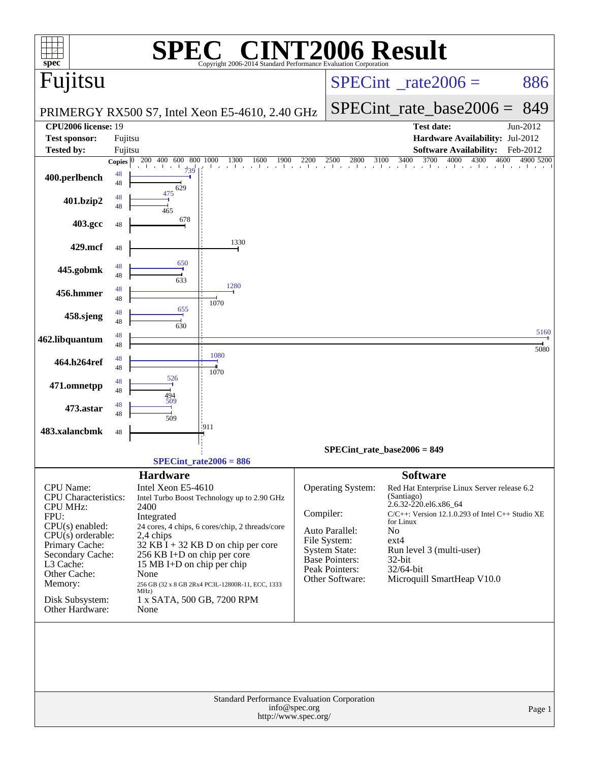| spec <sup>®</sup>                                                                                                                                                                                                                          | Copyright 2006-2014 Standard Performance Evaluation Corporation                                                                                                                                                                                                                                                                                                        | <b>CINT2006 Result</b>                                                                                                                                                                                                                                                                            |                                                                                                                                    |
|--------------------------------------------------------------------------------------------------------------------------------------------------------------------------------------------------------------------------------------------|------------------------------------------------------------------------------------------------------------------------------------------------------------------------------------------------------------------------------------------------------------------------------------------------------------------------------------------------------------------------|---------------------------------------------------------------------------------------------------------------------------------------------------------------------------------------------------------------------------------------------------------------------------------------------------|------------------------------------------------------------------------------------------------------------------------------------|
| Fujitsu                                                                                                                                                                                                                                    |                                                                                                                                                                                                                                                                                                                                                                        | $SPECint^{\circ}$ <sub>_rate2006</sub> =                                                                                                                                                                                                                                                          | 886                                                                                                                                |
|                                                                                                                                                                                                                                            | PRIMERGY RX500 S7, Intel Xeon E5-4610, 2.40 GHz                                                                                                                                                                                                                                                                                                                        | $SPECint$ rate base2006 =                                                                                                                                                                                                                                                                         | 849                                                                                                                                |
| <b>CPU2006 license: 19</b><br><b>Test sponsor:</b>                                                                                                                                                                                         |                                                                                                                                                                                                                                                                                                                                                                        | Test date:                                                                                                                                                                                                                                                                                        | Jun-2012<br>Hardware Availability: Jul-2012                                                                                        |
| <b>Tested by:</b>                                                                                                                                                                                                                          | Fujitsu<br>Fujitsu                                                                                                                                                                                                                                                                                                                                                     |                                                                                                                                                                                                                                                                                                   | <b>Software Availability:</b><br>Feb-2012                                                                                          |
| 400.perlbench                                                                                                                                                                                                                              | 200 400<br>600<br>800<br>1000<br>1300<br>Copies $ 0 $<br>1600<br>1900<br>739<br>48<br>48<br>629                                                                                                                                                                                                                                                                        | 3400<br>3700<br>2200<br>2500<br>2800<br>3100                                                                                                                                                                                                                                                      | 4000<br>4300<br>4600<br>4900 5200                                                                                                  |
| 401.bzip2                                                                                                                                                                                                                                  | 475<br>48<br>48<br>465                                                                                                                                                                                                                                                                                                                                                 |                                                                                                                                                                                                                                                                                                   |                                                                                                                                    |
| 403.gcc                                                                                                                                                                                                                                    | 678<br>48                                                                                                                                                                                                                                                                                                                                                              |                                                                                                                                                                                                                                                                                                   |                                                                                                                                    |
| 429.mcf                                                                                                                                                                                                                                    | 1330<br>48                                                                                                                                                                                                                                                                                                                                                             |                                                                                                                                                                                                                                                                                                   |                                                                                                                                    |
| 445.gobmk                                                                                                                                                                                                                                  | 650<br>48<br>48                                                                                                                                                                                                                                                                                                                                                        |                                                                                                                                                                                                                                                                                                   |                                                                                                                                    |
| 456.hmmer                                                                                                                                                                                                                                  | 633<br>1280<br>48<br>48                                                                                                                                                                                                                                                                                                                                                |                                                                                                                                                                                                                                                                                                   |                                                                                                                                    |
| 458.sjeng                                                                                                                                                                                                                                  | 1070<br>655<br>48<br>48                                                                                                                                                                                                                                                                                                                                                |                                                                                                                                                                                                                                                                                                   |                                                                                                                                    |
| 462.libquantum                                                                                                                                                                                                                             | 630<br>48<br>48                                                                                                                                                                                                                                                                                                                                                        |                                                                                                                                                                                                                                                                                                   | 5160                                                                                                                               |
| 464.h264ref                                                                                                                                                                                                                                | 1080<br>48<br>48                                                                                                                                                                                                                                                                                                                                                       |                                                                                                                                                                                                                                                                                                   | 5080                                                                                                                               |
| 471.omnetpp                                                                                                                                                                                                                                | 1070<br>526<br>48<br>48                                                                                                                                                                                                                                                                                                                                                |                                                                                                                                                                                                                                                                                                   |                                                                                                                                    |
| 473.astar                                                                                                                                                                                                                                  | 494<br>509<br>48<br>48                                                                                                                                                                                                                                                                                                                                                 |                                                                                                                                                                                                                                                                                                   |                                                                                                                                    |
| 483.xalancbmk                                                                                                                                                                                                                              | 509<br>3911<br>48                                                                                                                                                                                                                                                                                                                                                      |                                                                                                                                                                                                                                                                                                   |                                                                                                                                    |
|                                                                                                                                                                                                                                            |                                                                                                                                                                                                                                                                                                                                                                        | SPECint rate base $2006 = 849$                                                                                                                                                                                                                                                                    |                                                                                                                                    |
|                                                                                                                                                                                                                                            | $SPECint_rate2006 = 886$<br><b>Hardware</b>                                                                                                                                                                                                                                                                                                                            | <b>Software</b>                                                                                                                                                                                                                                                                                   |                                                                                                                                    |
| <b>CPU</b> Name:<br><b>CPU</b> Characteristics:<br><b>CPU MHz:</b><br>FPU:<br>$CPU(s)$ enabled:<br>$CPU(s)$ orderable:<br>Primary Cache:<br>Secondary Cache:<br>L3 Cache:<br>Other Cache:<br>Memory:<br>Disk Subsystem:<br>Other Hardware: | Intel Xeon E5-4610<br>Intel Turbo Boost Technology up to 2.90 GHz<br>2400<br>Integrated<br>24 cores, 4 chips, 6 cores/chip, 2 threads/core<br>2,4 chips<br>$32$ KB I + 32 KB D on chip per core<br>256 KB I+D on chip per core<br>15 MB I+D on chip per chip<br>None<br>256 GB (32 x 8 GB 2Rx4 PC3L-12800R-11, ECC, 1333<br>MHz)<br>1 x SATA, 500 GB, 7200 RPM<br>None | <b>Operating System:</b><br>(Santiago)<br>2.6.32-220.el6.x86_64<br>Compiler:<br>for Linux<br>Auto Parallel:<br>N <sub>0</sub><br>File System:<br>ext4<br><b>System State:</b><br>Run level 3 (multi-user)<br><b>Base Pointers:</b><br>$32$ -bit<br>Peak Pointers:<br>32/64-bit<br>Other Software: | Red Hat Enterprise Linux Server release 6.2<br>$C/C++$ : Version 12.1.0.293 of Intel $C++$ Studio XE<br>Microquill SmartHeap V10.0 |
|                                                                                                                                                                                                                                            |                                                                                                                                                                                                                                                                                                                                                                        |                                                                                                                                                                                                                                                                                                   |                                                                                                                                    |
|                                                                                                                                                                                                                                            | <b>Standard Performance Evaluation Corporation</b><br>info@spec.org<br>http://www.spec.org/                                                                                                                                                                                                                                                                            |                                                                                                                                                                                                                                                                                                   | Page 1                                                                                                                             |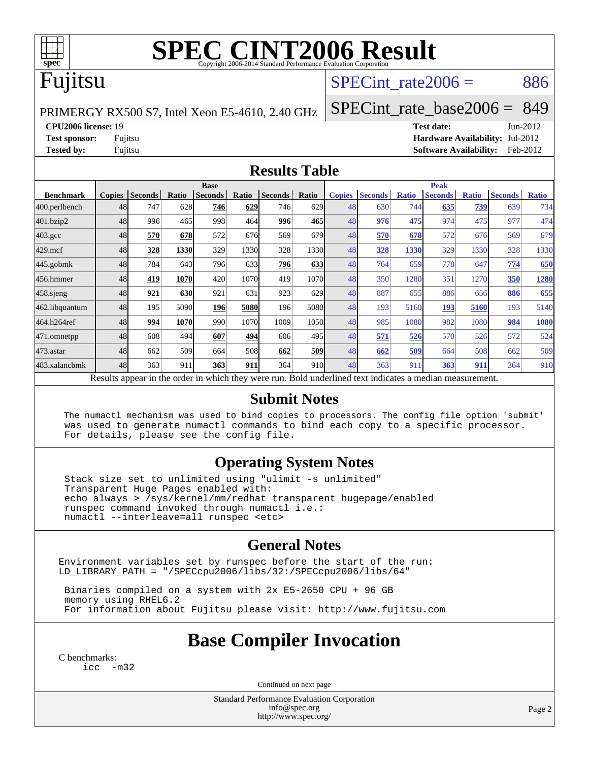

# **[SPEC CINT2006 Result](http://www.spec.org/auto/cpu2006/Docs/result-fields.html#SPECCINT2006Result)**

### Fujitsu

### SPECint rate $2006 = 886$

PRIMERGY RX500 S7, Intel Xeon E5-4610, 2.40 GHz

[SPECint\\_rate\\_base2006 =](http://www.spec.org/auto/cpu2006/Docs/result-fields.html#SPECintratebase2006) 849

#### **[CPU2006 license:](http://www.spec.org/auto/cpu2006/Docs/result-fields.html#CPU2006license)** 19 **[Test date:](http://www.spec.org/auto/cpu2006/Docs/result-fields.html#Testdate)** Jun-2012

**[Test sponsor:](http://www.spec.org/auto/cpu2006/Docs/result-fields.html#Testsponsor)** Fujitsu **[Hardware Availability:](http://www.spec.org/auto/cpu2006/Docs/result-fields.html#HardwareAvailability)** Jul-2012 **[Tested by:](http://www.spec.org/auto/cpu2006/Docs/result-fields.html#Testedby)** Fujitsu **[Software Availability:](http://www.spec.org/auto/cpu2006/Docs/result-fields.html#SoftwareAvailability)** Feb-2012

#### **[Results Table](http://www.spec.org/auto/cpu2006/Docs/result-fields.html#ResultsTable)**

|                                                                                                          | <b>Base</b>   |                |       |                |       | <b>Peak</b>    |       |               |                |              |                |              |                |              |
|----------------------------------------------------------------------------------------------------------|---------------|----------------|-------|----------------|-------|----------------|-------|---------------|----------------|--------------|----------------|--------------|----------------|--------------|
| <b>Benchmark</b>                                                                                         | <b>Copies</b> | <b>Seconds</b> | Ratio | <b>Seconds</b> | Ratio | <b>Seconds</b> | Ratio | <b>Copies</b> | <b>Seconds</b> | <b>Ratio</b> | <b>Seconds</b> | <b>Ratio</b> | <b>Seconds</b> | <b>Ratio</b> |
| 400.perlbench                                                                                            | 48            | 747            | 628   | 746            | 629   | 746            | 629   | 48            | 630            | 744          | 635            | 739          | 639            | 734          |
| 401.bzip2                                                                                                | 48            | 996            | 465   | 998            | 464   | 996            | 465   | 48            | 976            | 475          | 974            | 475          | 977            | 474          |
| $403.\mathrm{gcc}$                                                                                       | 48            | 570            | 678   | 572            | 676   | 569            | 679   | 48            | 570            | 678          | 572            | 676          | 569            | 679          |
| $429$ .mcf                                                                                               | 48            | 328            | 1330  | 329            | 1330  | 328            | 1330  | 48            | 328            | 1330         | 329            | 1330         | 328            | 1330         |
| $445$ .gobmk                                                                                             | 48            | 784            | 643   | 796            | 633   | 796            | 633   | 48            | 764            | 659          | 778            | 647          | 774            | 650          |
| 456.hmmer                                                                                                | 48            | 419            | 1070  | 420            | 1070  | 419            | 1070  | 48            | 350            | 1280         | 351            | 1270         | 350            | 1280         |
| $458$ .sjeng                                                                                             | 48            | 921            | 630   | 921            | 631   | 923            | 629   | 48            | 887            | 655          | 886            | 656          | 886            | 655          |
| 462.libquantum                                                                                           | 48            | 195            | 5090  | 196            | 5080  | 196            | 5080  | 48            | 193            | 5160         | 193            | 5160         | 193            | 5140         |
| 464.h264ref                                                                                              | 48            | 994            | 1070  | 990            | 1070  | 1009           | 1050  | 48            | 985            | 1080         | 982            | 1080         | 984            | 1080         |
| 471.omnetpp                                                                                              | 48            | 608            | 494   | 607            | 494   | 606            | 495   | 48            | 571            | 526          | 570            | 526          | 572            | 524          |
| 473.astar                                                                                                | 48            | 662            | 509   | 664            | 508   | 662            | 509   | 48            | 662            | 509          | 664            | 508          | 662            | 509          |
| 483.xalancbmk                                                                                            | 48            | 363            | 911   | 363            | 911   | 364            | 910   | 48            | 363            | 911          | 363            | 911          | 364            | 910          |
| Results appear in the order in which they were run. Bold underlined text indicates a median measurement. |               |                |       |                |       |                |       |               |                |              |                |              |                |              |

#### **[Submit Notes](http://www.spec.org/auto/cpu2006/Docs/result-fields.html#SubmitNotes)**

 The numactl mechanism was used to bind copies to processors. The config file option 'submit' was used to generate numactl commands to bind each copy to a specific processor. For details, please see the config file.

### **[Operating System Notes](http://www.spec.org/auto/cpu2006/Docs/result-fields.html#OperatingSystemNotes)**

 Stack size set to unlimited using "ulimit -s unlimited" Transparent Huge Pages enabled with: echo always > /sys/kernel/mm/redhat\_transparent\_hugepage/enabled runspec command invoked through numactl i.e.: numactl --interleave=all runspec <etc>

### **[General Notes](http://www.spec.org/auto/cpu2006/Docs/result-fields.html#GeneralNotes)**

Environment variables set by runspec before the start of the run: LD\_LIBRARY\_PATH = "/SPECcpu2006/libs/32:/SPECcpu2006/libs/64"

 Binaries compiled on a system with 2x E5-2650 CPU + 96 GB memory using RHEL6.2 For information about Fujitsu please visit: <http://www.fujitsu.com>

### **[Base Compiler Invocation](http://www.spec.org/auto/cpu2006/Docs/result-fields.html#BaseCompilerInvocation)**

[C benchmarks](http://www.spec.org/auto/cpu2006/Docs/result-fields.html#Cbenchmarks): [icc -m32](http://www.spec.org/cpu2006/results/res2012q3/cpu2006-20120730-23907.flags.html#user_CCbase_intel_icc_5ff4a39e364c98233615fdd38438c6f2)

Continued on next page

Standard Performance Evaluation Corporation [info@spec.org](mailto:info@spec.org) <http://www.spec.org/>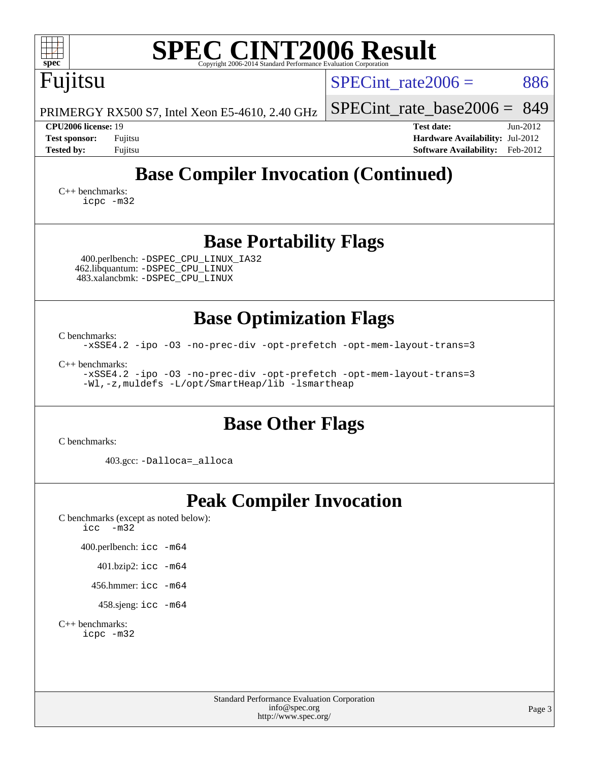| <b>SPEC CINT2006 Result</b><br>spec <sup>®</sup><br>Copyright 2006-2014 Standard Performance Evaluation Corporation                                                                                                                                                         |                                                                                                                 |
|-----------------------------------------------------------------------------------------------------------------------------------------------------------------------------------------------------------------------------------------------------------------------------|-----------------------------------------------------------------------------------------------------------------|
| Fujitsu                                                                                                                                                                                                                                                                     | 886<br>SPECint rate $2006 =$                                                                                    |
| PRIMERGY RX500 S7, Intel Xeon E5-4610, 2.40 GHz                                                                                                                                                                                                                             | 849<br>$SPECint_rate base2006 =$                                                                                |
| CPU2006 license: 19<br><b>Test sponsor:</b><br>Fujitsu<br><b>Tested by:</b><br>Fujitsu                                                                                                                                                                                      | <b>Test date:</b><br>$Jun-2012$<br>Hardware Availability: Jul-2012<br><b>Software Availability:</b><br>Feb-2012 |
| <b>Base Compiler Invocation (Continued)</b><br>$C++$ benchmarks:<br>icpc -m32                                                                                                                                                                                               |                                                                                                                 |
| <b>Base Portability Flags</b><br>400.perlbench: - DSPEC CPU LINUX IA32<br>462.libquantum: - DSPEC_CPU_LINUX<br>483.xalancbmk: -DSPEC_CPU_LINUX                                                                                                                              |                                                                                                                 |
| <b>Base Optimization Flags</b><br>C benchmarks:<br>-xSSE4.2 -ipo -03 -no-prec-div -opt-prefetch -opt-mem-layout-trans=3<br>$C_{++}$ benchmarks:<br>-xSSE4.2 -ipo -03 -no-prec-div -opt-prefetch -opt-mem-layout-trans=3<br>-Wl,-z, muldefs -L/opt/SmartHeap/lib -lsmartheap |                                                                                                                 |
| <b>Base Other Flags</b><br>C benchmarks:                                                                                                                                                                                                                                    |                                                                                                                 |
| 403.gcc: -Dalloca=_alloca                                                                                                                                                                                                                                                   |                                                                                                                 |
| <b>Peak Compiler Invocation</b><br>C benchmarks (except as noted below):<br>$-m32$<br>icc<br>400.perlbench: icc -m64<br>401.bzip2: icc -m64<br>456.hmmer: $\text{icc}$ -m64<br>458.sjeng: icc -m64<br>$C_{++}$ benchmarks:<br>icpc -m32                                     |                                                                                                                 |
| <b>Standard Performance Evaluation Corporation</b><br>info@spec.org<br>http://www.spec.org/                                                                                                                                                                                 | Page 3                                                                                                          |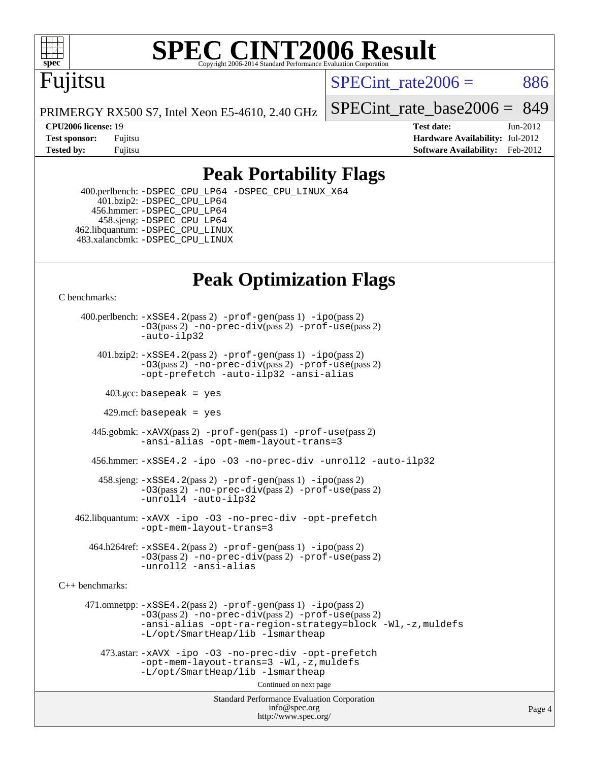

# **[SPEC CINT2006 Result](http://www.spec.org/auto/cpu2006/Docs/result-fields.html#SPECCINT2006Result)**

## Fujitsu

SPECint rate $2006 = 886$ 

PRIMERGY RX500 S7, Intel Xeon E5-4610, 2.40 GHz

**[CPU2006 license:](http://www.spec.org/auto/cpu2006/Docs/result-fields.html#CPU2006license)** 19 **[Test date:](http://www.spec.org/auto/cpu2006/Docs/result-fields.html#Testdate)** Jun-2012

[SPECint\\_rate\\_base2006 =](http://www.spec.org/auto/cpu2006/Docs/result-fields.html#SPECintratebase2006) 849

**[Test sponsor:](http://www.spec.org/auto/cpu2006/Docs/result-fields.html#Testsponsor)** Fujitsu **[Hardware Availability:](http://www.spec.org/auto/cpu2006/Docs/result-fields.html#HardwareAvailability)** Jul-2012 **[Tested by:](http://www.spec.org/auto/cpu2006/Docs/result-fields.html#Testedby)** Fujitsu **Fugital Example 2012 [Software Availability:](http://www.spec.org/auto/cpu2006/Docs/result-fields.html#SoftwareAvailability)** Feb-2012

### **[Peak Portability Flags](http://www.spec.org/auto/cpu2006/Docs/result-fields.html#PeakPortabilityFlags)**

 400.perlbench: [-DSPEC\\_CPU\\_LP64](http://www.spec.org/cpu2006/results/res2012q3/cpu2006-20120730-23907.flags.html#b400.perlbench_peakCPORTABILITY_DSPEC_CPU_LP64) [-DSPEC\\_CPU\\_LINUX\\_X64](http://www.spec.org/cpu2006/results/res2012q3/cpu2006-20120730-23907.flags.html#b400.perlbench_peakCPORTABILITY_DSPEC_CPU_LINUX_X64) 401.bzip2: [-DSPEC\\_CPU\\_LP64](http://www.spec.org/cpu2006/results/res2012q3/cpu2006-20120730-23907.flags.html#suite_peakCPORTABILITY401_bzip2_DSPEC_CPU_LP64) 456.hmmer: [-DSPEC\\_CPU\\_LP64](http://www.spec.org/cpu2006/results/res2012q3/cpu2006-20120730-23907.flags.html#suite_peakCPORTABILITY456_hmmer_DSPEC_CPU_LP64) 458.sjeng: [-DSPEC\\_CPU\\_LP64](http://www.spec.org/cpu2006/results/res2012q3/cpu2006-20120730-23907.flags.html#suite_peakCPORTABILITY458_sjeng_DSPEC_CPU_LP64) 462.libquantum: [-DSPEC\\_CPU\\_LINUX](http://www.spec.org/cpu2006/results/res2012q3/cpu2006-20120730-23907.flags.html#b462.libquantum_peakCPORTABILITY_DSPEC_CPU_LINUX) 483.xalancbmk: [-DSPEC\\_CPU\\_LINUX](http://www.spec.org/cpu2006/results/res2012q3/cpu2006-20120730-23907.flags.html#b483.xalancbmk_peakCXXPORTABILITY_DSPEC_CPU_LINUX)

### **[Peak Optimization Flags](http://www.spec.org/auto/cpu2006/Docs/result-fields.html#PeakOptimizationFlags)**

[C benchmarks](http://www.spec.org/auto/cpu2006/Docs/result-fields.html#Cbenchmarks):

 400.perlbench: [-xSSE4.2](http://www.spec.org/cpu2006/results/res2012q3/cpu2006-20120730-23907.flags.html#user_peakPASS2_CFLAGSPASS2_LDCFLAGS400_perlbench_f-xSSE42_f91528193cf0b216347adb8b939d4107)(pass 2) [-prof-gen](http://www.spec.org/cpu2006/results/res2012q3/cpu2006-20120730-23907.flags.html#user_peakPASS1_CFLAGSPASS1_LDCFLAGS400_perlbench_prof_gen_e43856698f6ca7b7e442dfd80e94a8fc)(pass 1) [-ipo](http://www.spec.org/cpu2006/results/res2012q3/cpu2006-20120730-23907.flags.html#user_peakPASS2_CFLAGSPASS2_LDCFLAGS400_perlbench_f-ipo)(pass 2) [-O3](http://www.spec.org/cpu2006/results/res2012q3/cpu2006-20120730-23907.flags.html#user_peakPASS2_CFLAGSPASS2_LDCFLAGS400_perlbench_f-O3)(pass 2) [-no-prec-div](http://www.spec.org/cpu2006/results/res2012q3/cpu2006-20120730-23907.flags.html#user_peakPASS2_CFLAGSPASS2_LDCFLAGS400_perlbench_f-no-prec-div)(pass 2) [-prof-use](http://www.spec.org/cpu2006/results/res2012q3/cpu2006-20120730-23907.flags.html#user_peakPASS2_CFLAGSPASS2_LDCFLAGS400_perlbench_prof_use_bccf7792157ff70d64e32fe3e1250b55)(pass 2) [-auto-ilp32](http://www.spec.org/cpu2006/results/res2012q3/cpu2006-20120730-23907.flags.html#user_peakCOPTIMIZE400_perlbench_f-auto-ilp32)  $401.bzip2: -xSSE4.2(pass 2) -prof-qen(pass 1) -ipo(pass 2)$  $401.bzip2: -xSSE4.2(pass 2) -prof-qen(pass 1) -ipo(pass 2)$  $401.bzip2: -xSSE4.2(pass 2) -prof-qen(pass 1) -ipo(pass 2)$  $401.bzip2: -xSSE4.2(pass 2) -prof-qen(pass 1) -ipo(pass 2)$  $401.bzip2: -xSSE4.2(pass 2) -prof-qen(pass 1) -ipo(pass 2)$ [-O3](http://www.spec.org/cpu2006/results/res2012q3/cpu2006-20120730-23907.flags.html#user_peakPASS2_CFLAGSPASS2_LDCFLAGS401_bzip2_f-O3)(pass 2) [-no-prec-div](http://www.spec.org/cpu2006/results/res2012q3/cpu2006-20120730-23907.flags.html#user_peakPASS2_CFLAGSPASS2_LDCFLAGS401_bzip2_f-no-prec-div)(pass 2) [-prof-use](http://www.spec.org/cpu2006/results/res2012q3/cpu2006-20120730-23907.flags.html#user_peakPASS2_CFLAGSPASS2_LDCFLAGS401_bzip2_prof_use_bccf7792157ff70d64e32fe3e1250b55)(pass 2) [-opt-prefetch](http://www.spec.org/cpu2006/results/res2012q3/cpu2006-20120730-23907.flags.html#user_peakCOPTIMIZE401_bzip2_f-opt-prefetch) [-auto-ilp32](http://www.spec.org/cpu2006/results/res2012q3/cpu2006-20120730-23907.flags.html#user_peakCOPTIMIZE401_bzip2_f-auto-ilp32) [-ansi-alias](http://www.spec.org/cpu2006/results/res2012q3/cpu2006-20120730-23907.flags.html#user_peakCOPTIMIZE401_bzip2_f-ansi-alias)  $403.\text{sec: basepeak}$  = yes 429.mcf: basepeak = yes 445.gobmk: [-xAVX](http://www.spec.org/cpu2006/results/res2012q3/cpu2006-20120730-23907.flags.html#user_peakPASS2_CFLAGSPASS2_LDCFLAGS445_gobmk_f-xAVX)(pass 2) [-prof-gen](http://www.spec.org/cpu2006/results/res2012q3/cpu2006-20120730-23907.flags.html#user_peakPASS1_CFLAGSPASS1_LDCFLAGS445_gobmk_prof_gen_e43856698f6ca7b7e442dfd80e94a8fc)(pass 1) [-prof-use](http://www.spec.org/cpu2006/results/res2012q3/cpu2006-20120730-23907.flags.html#user_peakPASS2_CFLAGSPASS2_LDCFLAGS445_gobmk_prof_use_bccf7792157ff70d64e32fe3e1250b55)(pass 2) [-ansi-alias](http://www.spec.org/cpu2006/results/res2012q3/cpu2006-20120730-23907.flags.html#user_peakCOPTIMIZE445_gobmk_f-ansi-alias) [-opt-mem-layout-trans=3](http://www.spec.org/cpu2006/results/res2012q3/cpu2006-20120730-23907.flags.html#user_peakCOPTIMIZE445_gobmk_f-opt-mem-layout-trans_a7b82ad4bd7abf52556d4961a2ae94d5) 456.hmmer: [-xSSE4.2](http://www.spec.org/cpu2006/results/res2012q3/cpu2006-20120730-23907.flags.html#user_peakCOPTIMIZE456_hmmer_f-xSSE42_f91528193cf0b216347adb8b939d4107) [-ipo](http://www.spec.org/cpu2006/results/res2012q3/cpu2006-20120730-23907.flags.html#user_peakCOPTIMIZE456_hmmer_f-ipo) [-O3](http://www.spec.org/cpu2006/results/res2012q3/cpu2006-20120730-23907.flags.html#user_peakCOPTIMIZE456_hmmer_f-O3) [-no-prec-div](http://www.spec.org/cpu2006/results/res2012q3/cpu2006-20120730-23907.flags.html#user_peakCOPTIMIZE456_hmmer_f-no-prec-div) [-unroll2](http://www.spec.org/cpu2006/results/res2012q3/cpu2006-20120730-23907.flags.html#user_peakCOPTIMIZE456_hmmer_f-unroll_784dae83bebfb236979b41d2422d7ec2) [-auto-ilp32](http://www.spec.org/cpu2006/results/res2012q3/cpu2006-20120730-23907.flags.html#user_peakCOPTIMIZE456_hmmer_f-auto-ilp32) 458.sjeng: [-xSSE4.2](http://www.spec.org/cpu2006/results/res2012q3/cpu2006-20120730-23907.flags.html#user_peakPASS2_CFLAGSPASS2_LDCFLAGS458_sjeng_f-xSSE42_f91528193cf0b216347adb8b939d4107)(pass 2) [-prof-gen](http://www.spec.org/cpu2006/results/res2012q3/cpu2006-20120730-23907.flags.html#user_peakPASS1_CFLAGSPASS1_LDCFLAGS458_sjeng_prof_gen_e43856698f6ca7b7e442dfd80e94a8fc)(pass 1) [-ipo](http://www.spec.org/cpu2006/results/res2012q3/cpu2006-20120730-23907.flags.html#user_peakPASS2_CFLAGSPASS2_LDCFLAGS458_sjeng_f-ipo)(pass 2) [-O3](http://www.spec.org/cpu2006/results/res2012q3/cpu2006-20120730-23907.flags.html#user_peakPASS2_CFLAGSPASS2_LDCFLAGS458_sjeng_f-O3)(pass 2) [-no-prec-div](http://www.spec.org/cpu2006/results/res2012q3/cpu2006-20120730-23907.flags.html#user_peakPASS2_CFLAGSPASS2_LDCFLAGS458_sjeng_f-no-prec-div)(pass 2) [-prof-use](http://www.spec.org/cpu2006/results/res2012q3/cpu2006-20120730-23907.flags.html#user_peakPASS2_CFLAGSPASS2_LDCFLAGS458_sjeng_prof_use_bccf7792157ff70d64e32fe3e1250b55)(pass 2) [-unroll4](http://www.spec.org/cpu2006/results/res2012q3/cpu2006-20120730-23907.flags.html#user_peakCOPTIMIZE458_sjeng_f-unroll_4e5e4ed65b7fd20bdcd365bec371b81f) [-auto-ilp32](http://www.spec.org/cpu2006/results/res2012q3/cpu2006-20120730-23907.flags.html#user_peakCOPTIMIZE458_sjeng_f-auto-ilp32) 462.libquantum: [-xAVX](http://www.spec.org/cpu2006/results/res2012q3/cpu2006-20120730-23907.flags.html#user_peakCOPTIMIZE462_libquantum_f-xAVX) [-ipo](http://www.spec.org/cpu2006/results/res2012q3/cpu2006-20120730-23907.flags.html#user_peakCOPTIMIZE462_libquantum_f-ipo) [-O3](http://www.spec.org/cpu2006/results/res2012q3/cpu2006-20120730-23907.flags.html#user_peakCOPTIMIZE462_libquantum_f-O3) [-no-prec-div](http://www.spec.org/cpu2006/results/res2012q3/cpu2006-20120730-23907.flags.html#user_peakCOPTIMIZE462_libquantum_f-no-prec-div) [-opt-prefetch](http://www.spec.org/cpu2006/results/res2012q3/cpu2006-20120730-23907.flags.html#user_peakCOPTIMIZE462_libquantum_f-opt-prefetch) [-opt-mem-layout-trans=3](http://www.spec.org/cpu2006/results/res2012q3/cpu2006-20120730-23907.flags.html#user_peakCOPTIMIZE462_libquantum_f-opt-mem-layout-trans_a7b82ad4bd7abf52556d4961a2ae94d5)  $464.h264$ ref:  $-xSSE4$ .  $2(pass 2)$  [-prof-gen](http://www.spec.org/cpu2006/results/res2012q3/cpu2006-20120730-23907.flags.html#user_peakPASS1_CFLAGSPASS1_LDCFLAGS464_h264ref_prof_gen_e43856698f6ca7b7e442dfd80e94a8fc) $(pass 1)$  [-ipo](http://www.spec.org/cpu2006/results/res2012q3/cpu2006-20120730-23907.flags.html#user_peakPASS2_CFLAGSPASS2_LDCFLAGS464_h264ref_f-ipo) $(pass 2)$ [-O3](http://www.spec.org/cpu2006/results/res2012q3/cpu2006-20120730-23907.flags.html#user_peakPASS2_CFLAGSPASS2_LDCFLAGS464_h264ref_f-O3)(pass 2) [-no-prec-div](http://www.spec.org/cpu2006/results/res2012q3/cpu2006-20120730-23907.flags.html#user_peakPASS2_CFLAGSPASS2_LDCFLAGS464_h264ref_f-no-prec-div)(pass 2) [-prof-use](http://www.spec.org/cpu2006/results/res2012q3/cpu2006-20120730-23907.flags.html#user_peakPASS2_CFLAGSPASS2_LDCFLAGS464_h264ref_prof_use_bccf7792157ff70d64e32fe3e1250b55)(pass 2) [-unroll2](http://www.spec.org/cpu2006/results/res2012q3/cpu2006-20120730-23907.flags.html#user_peakCOPTIMIZE464_h264ref_f-unroll_784dae83bebfb236979b41d2422d7ec2) [-ansi-alias](http://www.spec.org/cpu2006/results/res2012q3/cpu2006-20120730-23907.flags.html#user_peakCOPTIMIZE464_h264ref_f-ansi-alias)

[C++ benchmarks:](http://www.spec.org/auto/cpu2006/Docs/result-fields.html#CXXbenchmarks)

 471.omnetpp: [-xSSE4.2](http://www.spec.org/cpu2006/results/res2012q3/cpu2006-20120730-23907.flags.html#user_peakPASS2_CXXFLAGSPASS2_LDCXXFLAGS471_omnetpp_f-xSSE42_f91528193cf0b216347adb8b939d4107)(pass 2) [-prof-gen](http://www.spec.org/cpu2006/results/res2012q3/cpu2006-20120730-23907.flags.html#user_peakPASS1_CXXFLAGSPASS1_LDCXXFLAGS471_omnetpp_prof_gen_e43856698f6ca7b7e442dfd80e94a8fc)(pass 1) [-ipo](http://www.spec.org/cpu2006/results/res2012q3/cpu2006-20120730-23907.flags.html#user_peakPASS2_CXXFLAGSPASS2_LDCXXFLAGS471_omnetpp_f-ipo)(pass 2) [-O3](http://www.spec.org/cpu2006/results/res2012q3/cpu2006-20120730-23907.flags.html#user_peakPASS2_CXXFLAGSPASS2_LDCXXFLAGS471_omnetpp_f-O3)(pass 2) [-no-prec-div](http://www.spec.org/cpu2006/results/res2012q3/cpu2006-20120730-23907.flags.html#user_peakPASS2_CXXFLAGSPASS2_LDCXXFLAGS471_omnetpp_f-no-prec-div)(pass 2) [-prof-use](http://www.spec.org/cpu2006/results/res2012q3/cpu2006-20120730-23907.flags.html#user_peakPASS2_CXXFLAGSPASS2_LDCXXFLAGS471_omnetpp_prof_use_bccf7792157ff70d64e32fe3e1250b55)(pass 2) [-ansi-alias](http://www.spec.org/cpu2006/results/res2012q3/cpu2006-20120730-23907.flags.html#user_peakCXXOPTIMIZE471_omnetpp_f-ansi-alias) [-opt-ra-region-strategy=block](http://www.spec.org/cpu2006/results/res2012q3/cpu2006-20120730-23907.flags.html#user_peakCXXOPTIMIZE471_omnetpp_f-opt-ra-region-strategy_a0a37c372d03933b2a18d4af463c1f69) [-Wl,-z,muldefs](http://www.spec.org/cpu2006/results/res2012q3/cpu2006-20120730-23907.flags.html#user_peakEXTRA_LDFLAGS471_omnetpp_link_force_multiple1_74079c344b956b9658436fd1b6dd3a8a) [-L/opt/SmartHeap/lib -lsmartheap](http://www.spec.org/cpu2006/results/res2012q3/cpu2006-20120730-23907.flags.html#user_peakEXTRA_LIBS471_omnetpp_SmartHeap_1046f488ce4b4d9d2689b01742ccb999) 473.astar: [-xAVX](http://www.spec.org/cpu2006/results/res2012q3/cpu2006-20120730-23907.flags.html#user_peakCXXOPTIMIZE473_astar_f-xAVX) [-ipo](http://www.spec.org/cpu2006/results/res2012q3/cpu2006-20120730-23907.flags.html#user_peakCXXOPTIMIZE473_astar_f-ipo) [-O3](http://www.spec.org/cpu2006/results/res2012q3/cpu2006-20120730-23907.flags.html#user_peakCXXOPTIMIZE473_astar_f-O3) [-no-prec-div](http://www.spec.org/cpu2006/results/res2012q3/cpu2006-20120730-23907.flags.html#user_peakCXXOPTIMIZE473_astar_f-no-prec-div) [-opt-prefetch](http://www.spec.org/cpu2006/results/res2012q3/cpu2006-20120730-23907.flags.html#user_peakCXXOPTIMIZE473_astar_f-opt-prefetch)

[-opt-mem-layout-trans=3](http://www.spec.org/cpu2006/results/res2012q3/cpu2006-20120730-23907.flags.html#user_peakCXXOPTIMIZE473_astar_f-opt-mem-layout-trans_a7b82ad4bd7abf52556d4961a2ae94d5) [-Wl,-z,muldefs](http://www.spec.org/cpu2006/results/res2012q3/cpu2006-20120730-23907.flags.html#user_peakEXTRA_LDFLAGS473_astar_link_force_multiple1_74079c344b956b9658436fd1b6dd3a8a) [-L/opt/SmartHeap/lib -lsmartheap](http://www.spec.org/cpu2006/results/res2012q3/cpu2006-20120730-23907.flags.html#user_peakEXTRA_LIBS473_astar_SmartHeap_1046f488ce4b4d9d2689b01742ccb999) Continued on next page

> Standard Performance Evaluation Corporation [info@spec.org](mailto:info@spec.org) <http://www.spec.org/>